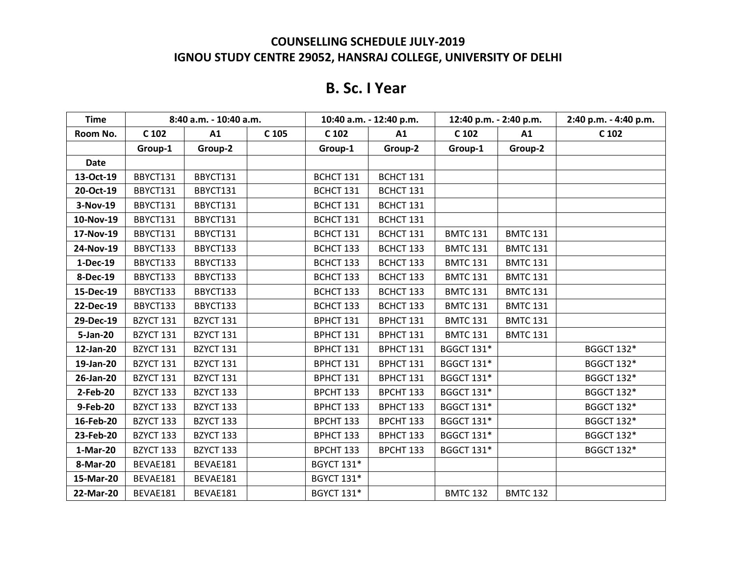# **B. Sc. I Year**

| <b>Time</b> |           | 8:40 a.m. - 10:40 a.m. |       |                   | 10:40 a.m. - 12:40 p.m. | 12:40 p.m. - 2:40 p.m. |                 | 2:40 p.m. - 4:40 p.m. |
|-------------|-----------|------------------------|-------|-------------------|-------------------------|------------------------|-----------------|-----------------------|
| Room No.    | $C$ 102   | A1                     | C 105 | C <sub>102</sub>  | A1                      | C 102                  | A1              | C 102                 |
|             | Group-1   | Group-2                |       | Group-1           | Group-2                 | Group-1                | Group-2         |                       |
| <b>Date</b> |           |                        |       |                   |                         |                        |                 |                       |
| 13-Oct-19   | BBYCT131  | BBYCT131               |       | BCHCT 131         | BCHCT 131               |                        |                 |                       |
| 20-Oct-19   | BBYCT131  | BBYCT131               |       | BCHCT 131         | BCHCT 131               |                        |                 |                       |
| 3-Nov-19    | BBYCT131  | BBYCT131               |       | BCHCT 131         | BCHCT 131               |                        |                 |                       |
| 10-Nov-19   | BBYCT131  | BBYCT131               |       | BCHCT 131         | BCHCT 131               |                        |                 |                       |
| 17-Nov-19   | BBYCT131  | BBYCT131               |       | BCHCT 131         | BCHCT 131               | <b>BMTC 131</b>        | <b>BMTC 131</b> |                       |
| 24-Nov-19   | BBYCT133  | BBYCT133               |       | BCHCT 133         | BCHCT 133               | <b>BMTC 131</b>        | <b>BMTC 131</b> |                       |
| 1-Dec-19    | BBYCT133  | BBYCT133               |       | BCHCT 133         | BCHCT 133               | <b>BMTC 131</b>        | <b>BMTC 131</b> |                       |
| 8-Dec-19    | BBYCT133  | BBYCT133               |       | BCHCT 133         | BCHCT 133               | <b>BMTC 131</b>        | <b>BMTC 131</b> |                       |
| 15-Dec-19   | BBYCT133  | BBYCT133               |       | BCHCT 133         | BCHCT 133               | <b>BMTC 131</b>        | <b>BMTC 131</b> |                       |
| 22-Dec-19   | BBYCT133  | BBYCT133               |       | BCHCT 133         | BCHCT 133               | <b>BMTC 131</b>        | <b>BMTC 131</b> |                       |
| 29-Dec-19   | BZYCT 131 | BZYCT 131              |       | BPHCT 131         | BPHCT 131               | <b>BMTC 131</b>        | <b>BMTC 131</b> |                       |
| 5-Jan-20    | BZYCT 131 | BZYCT 131              |       | BPHCT 131         | BPHCT 131               | <b>BMTC 131</b>        | <b>BMTC 131</b> |                       |
| 12-Jan-20   | BZYCT 131 | BZYCT 131              |       | BPHCT 131         | BPHCT 131               | <b>BGGCT 131*</b>      |                 | <b>BGGCT 132*</b>     |
| 19-Jan-20   | BZYCT 131 | BZYCT 131              |       | BPHCT 131         | BPHCT 131               | <b>BGGCT 131*</b>      |                 | <b>BGGCT 132*</b>     |
| 26-Jan-20   | BZYCT 131 | BZYCT 131              |       | BPHCT 131         | BPHCT 131               | <b>BGGCT 131*</b>      |                 | <b>BGGCT 132*</b>     |
| 2-Feb-20    | BZYCT 133 | BZYCT 133              |       | BPCHT 133         | BPCHT 133               | <b>BGGCT 131*</b>      |                 | <b>BGGCT 132*</b>     |
| 9-Feb-20    | BZYCT 133 | BZYCT 133              |       | BPHCT 133         | BPHCT 133               | <b>BGGCT 131*</b>      |                 | <b>BGGCT 132*</b>     |
| 16-Feb-20   | BZYCT 133 | BZYCT 133              |       | BPCHT 133         | BPCHT 133               | <b>BGGCT 131*</b>      |                 | <b>BGGCT 132*</b>     |
| 23-Feb-20   | BZYCT 133 | BZYCT 133              |       | BPHCT 133         | BPHCT 133               | <b>BGGCT 131*</b>      |                 | <b>BGGCT 132*</b>     |
| 1-Mar-20    | BZYCT 133 | BZYCT 133              |       | BPCHT 133         | BPCHT 133               | <b>BGGCT 131*</b>      |                 | <b>BGGCT 132*</b>     |
| 8-Mar-20    | BEVAE181  | BEVAE181               |       | <b>BGYCT 131*</b> |                         |                        |                 |                       |
| 15-Mar-20   | BEVAE181  | BEVAE181               |       | <b>BGYCT 131*</b> |                         |                        |                 |                       |
| 22-Mar-20   | BEVAE181  | BEVAE181               |       | <b>BGYCT 131*</b> |                         | <b>BMTC 132</b>        | <b>BMTC 132</b> |                       |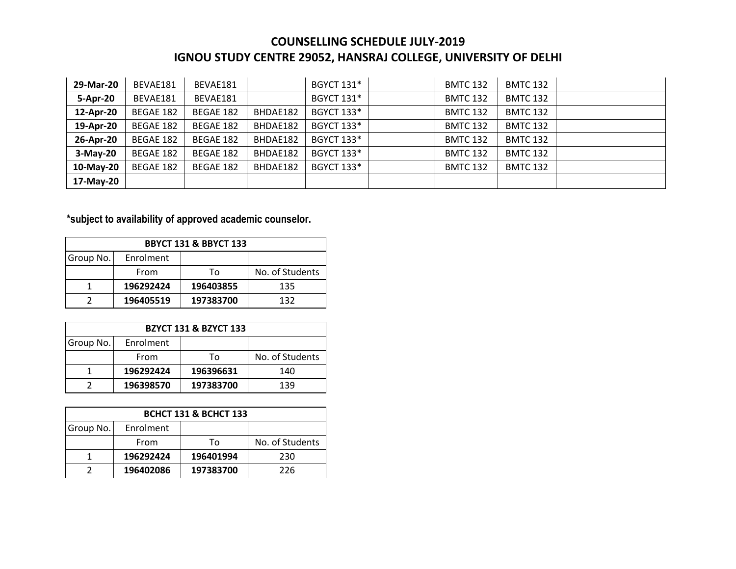| 29-Mar-20  | BEVAE181  | BEVAE181  |          | <b>BGYCT 131*</b> | <b>BMTC 132</b> | <b>BMTC 132</b> |  |
|------------|-----------|-----------|----------|-------------------|-----------------|-----------------|--|
| 5-Apr-20   | BEVAE181  | BEVAE181  |          | <b>BGYCT 131*</b> | <b>BMTC 132</b> | <b>BMTC 132</b> |  |
| 12-Apr-20  | BEGAE 182 | BEGAE 182 | BHDAE182 | <b>BGYCT 133*</b> | <b>BMTC 132</b> | <b>BMTC 132</b> |  |
| 19-Apr-20  | BEGAE 182 | BEGAE 182 | BHDAE182 | <b>BGYCT 133*</b> | <b>BMTC 132</b> | <b>BMTC 132</b> |  |
| 26-Apr-20  | BEGAE 182 | BEGAE 182 | BHDAE182 | <b>BGYCT 133*</b> | <b>BMTC 132</b> | <b>BMTC 132</b> |  |
| $3-May-20$ | BEGAE 182 | BEGAE 182 | BHDAE182 | <b>BGYCT 133*</b> | <b>BMTC 132</b> | <b>BMTC 132</b> |  |
| 10-May-20  | BEGAE 182 | BEGAE 182 | BHDAE182 | <b>BGYCT 133*</b> | <b>BMTC 132</b> | <b>BMTC 132</b> |  |
| 17-May-20  |           |           |          |                   |                 |                 |  |

### **\*subject to availability of approved academic counselor.**

| <b>BBYCT 131 &amp; BBYCT 133</b> |           |           |                 |  |  |
|----------------------------------|-----------|-----------|-----------------|--|--|
| Group No.                        | Enrolment |           |                 |  |  |
|                                  | From      | Т٥        | No. of Students |  |  |
|                                  | 196292424 | 196403855 | 135             |  |  |
|                                  | 196405519 | 197383700 | 132             |  |  |

| <b>BZYCT 131 &amp; BZYCT 133</b> |           |           |                 |  |  |
|----------------------------------|-----------|-----------|-----------------|--|--|
| Group No.                        | Enrolment |           |                 |  |  |
|                                  | From      | Т٥        | No. of Students |  |  |
|                                  | 196292424 | 196396631 | 140             |  |  |
|                                  | 196398570 | 197383700 | 139             |  |  |

| <b>BCHCT 131 &amp; BCHCT 133</b> |           |           |                 |  |  |
|----------------------------------|-----------|-----------|-----------------|--|--|
| Group No.                        | Enrolment |           |                 |  |  |
|                                  | From      | Т٥        | No. of Students |  |  |
|                                  | 196292424 | 196401994 | 230             |  |  |
|                                  | 196402086 | 197383700 | 226             |  |  |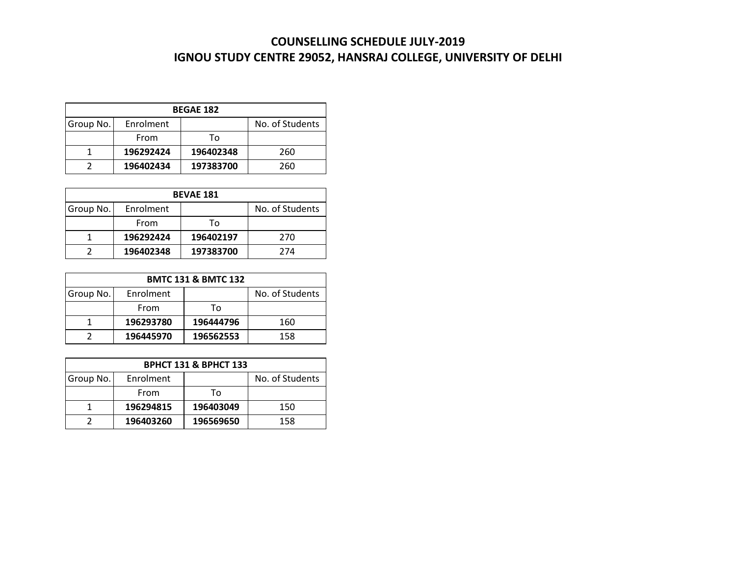| <b>BEGAE 182</b> |           |           |                 |  |  |
|------------------|-----------|-----------|-----------------|--|--|
| Group No.        | Enrolment |           | No. of Students |  |  |
|                  | From      | Т٥        |                 |  |  |
|                  | 196292424 | 196402348 | 260             |  |  |
|                  | 196402434 | 197383700 | 260             |  |  |

| <b>BEVAE 181</b> |           |           |                 |  |  |
|------------------|-----------|-----------|-----------------|--|--|
| Group No.        | Enrolment |           | No. of Students |  |  |
|                  | From      | Т٥        |                 |  |  |
|                  | 196292424 | 196402197 | 270             |  |  |
|                  | 196402348 | 197383700 | 274             |  |  |

| <b>BMTC 131 &amp; BMTC 132</b> |           |           |                 |  |  |
|--------------------------------|-----------|-----------|-----------------|--|--|
| Group No.                      | Enrolment |           | No. of Students |  |  |
|                                | From      | Т٥        |                 |  |  |
|                                | 196293780 | 196444796 | 160             |  |  |
|                                | 196445970 | 196562553 | 158             |  |  |

| <b>BPHCT 131 &amp; BPHCT 133</b> |           |           |                 |  |  |
|----------------------------------|-----------|-----------|-----------------|--|--|
| Group No.                        | Enrolment |           | No. of Students |  |  |
|                                  | From      | Т٥        |                 |  |  |
|                                  | 196294815 | 196403049 | 150             |  |  |
|                                  | 196403260 | 196569650 | 158             |  |  |